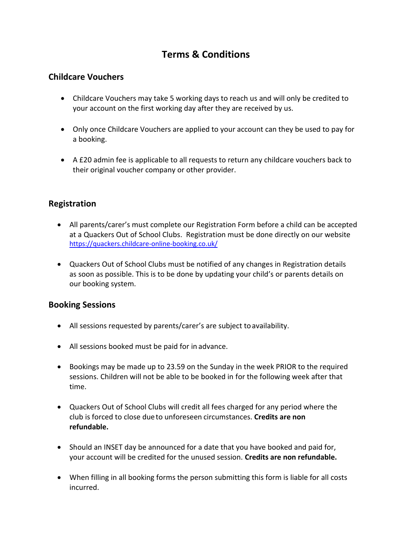# **Terms & Conditions**

## **Childcare Vouchers**

- Childcare Vouchers may take 5 working days to reach us and will only be credited to your account on the first working day after they are received by us.
- Only once Childcare Vouchers are applied to your account can they be used to pay for a booking.
- A £20 admin fee is applicable to all requests to return any childcare vouchers back to their original voucher company or other provider.

# **Registration**

- All parents/carer's must complete our Registration Form before a child can be accepted at a Quackers Out of School Clubs. Registration must be done directly on our websit[e](http://www.breakspear-bookings.co.uk/) <https://quackers.childcare-online-booking.co.uk/>
- Quackers Out of School Clubs must be notified of any changes in Registration details as soon as possible. This is to be done by updating your child's or parents details on our booking system.

### **Booking Sessions**

- All sessions requested by parents/carer's are subject to availability.
- All sessions booked must be paid for in advance.
- Bookings may be made up to 23.59 on the Sunday in the week PRIOR to the required sessions. Children will not be able to be booked in for the following week after that time.
- Quackers Out of School Clubs will credit all fees charged for any period where the club is forced to close dueto unforeseen circumstances. **Credits are non refundable.**
- Should an INSET day be announced for a date that you have booked and paid for, your account will be credited for the unused session. **Credits are non refundable.**
- When filling in all booking forms the person submitting this form is liable for all costs incurred.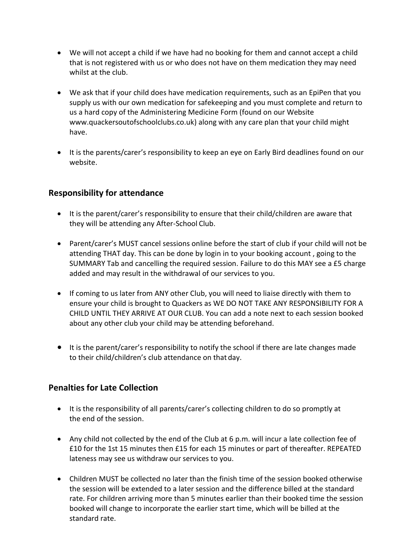- We will not accept a child if we have had no booking for them and cannot accept a child that is not registered with us or who does not have on them medication they may need whilst at the club.
- We ask that if your child does have medication requirements, such as an EpiPen that you supply us with our own medication for safekeeping and you must complete and return to us a hard copy of the Administering Medicine Form (found on our Website www.quackersoutofschoolclubs.co.uk) along with any care plan that your child might have.
- It is the parents/carer's responsibility to keep an eye on Early Bird deadlines found on our website.

## **Responsibility for attendance**

- It is the parent/carer's responsibility to ensure that their child/children are aware that they will be attending any After-School Club.
- Parent/carer's MUST cancel sessions online before the start of club if your child will not be attending THAT day. This can be done by login in to your booking account , going to the SUMMARY Tab and cancelling the required session. Failure to do this MAY see a £5 charge added and may result in the withdrawal of our services to you.
- If coming to us later from ANY other Club, you will need to liaise directly with them to ensure your child is brought to Quackers as WE DO NOT TAKE ANY RESPONSIBILITY FOR A CHILD UNTIL THEY ARRIVE AT OUR CLUB. You can add a note next to each session booked about any other club your child may be attending beforehand.
- It is the parent/carer's responsibility to notify the school if there are late changes made to their child/children's club attendance on that day.

### **Penalties for Late Collection**

- It is the responsibility of all parents/carer's collecting children to do so promptly at the end of the session.
- Any child not collected by the end of the Club at 6 p.m. will incur a late collection fee of £10 for the 1st 15 minutes then £15 for each 15 minutes or part of thereafter. REPEATED lateness may see us withdraw our services to you.
- Children MUST be collected no later than the finish time of the session booked otherwise the session will be extended to a later session and the difference billed at the standard rate. For children arriving more than 5 minutes earlier than their booked time the session booked will change to incorporate the earlier start time, which will be billed at the standard rate.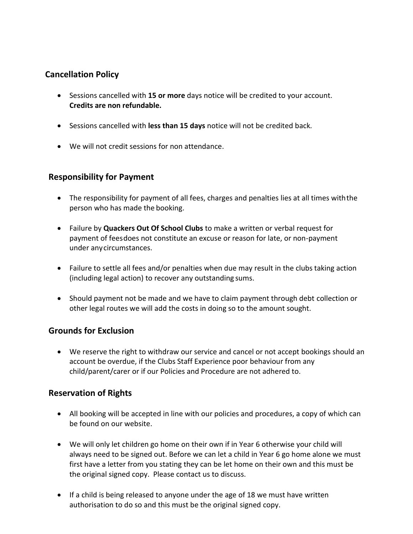# **Cancellation Policy**

- Sessions cancelled with **15 or more** days notice will be credited to your account. **Credits are non refundable.**
- Sessions cancelled with **less than 15 days** notice will not be credited back.
- We will not credit sessions for non attendance.

## **Responsibility for Payment**

- The responsibility for payment of all fees, charges and penalties lies at all times withthe person who has made the booking.
- Failure by **Quackers Out Of School Clubs** to make a written or verbal request for payment of feesdoes not constitute an excuse or reason for late, or non-payment under anycircumstances.
- Failure to settle all fees and/or penalties when due may result in the clubs taking action (including legal action) to recover any outstanding sums.
- Should payment not be made and we have to claim payment through debt collection or other legal routes we will add the costs in doing so to the amount sought.

### **Grounds for Exclusion**

• We reserve the right to withdraw our service and cancel or not accept bookings should an account be overdue, if the Clubs Staff Experience poor behaviour from any child/parent/carer or if our Policies and Procedure are not adhered to.

### **Reservation of Rights**

- All booking will be accepted in line with our policies and procedures, a copy of which can be found on our website.
- We will only let children go home on their own if in Year 6 otherwise your child will always need to be signed out. Before we can let a child in Year 6 go home alone we must first have a letter from you stating they can be let home on their own and this must be the original signed copy. Please contact us to discuss.
- If a child is being released to anyone under the age of 18 we must have written authorisation to do so and this must be the original signed copy.